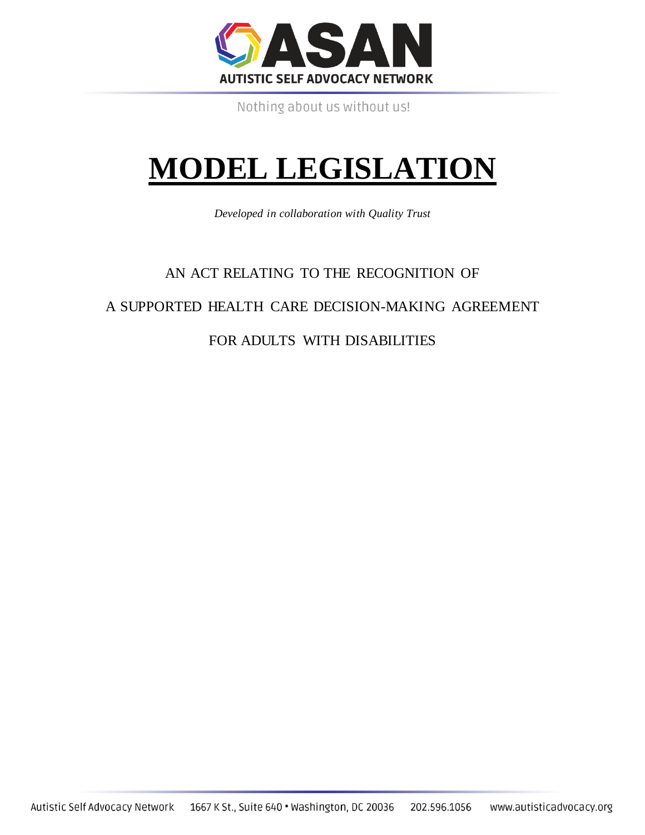

# **MODEL LEGISLATION**

*Developed in collaboration with Quality Trust*

# AN ACT RELATING TO THE RECOGNITION OF A SUPPORTED HEALTH CARE DECISION-MAKING AGREEMENT

FOR ADULTS WITH DISABILITIES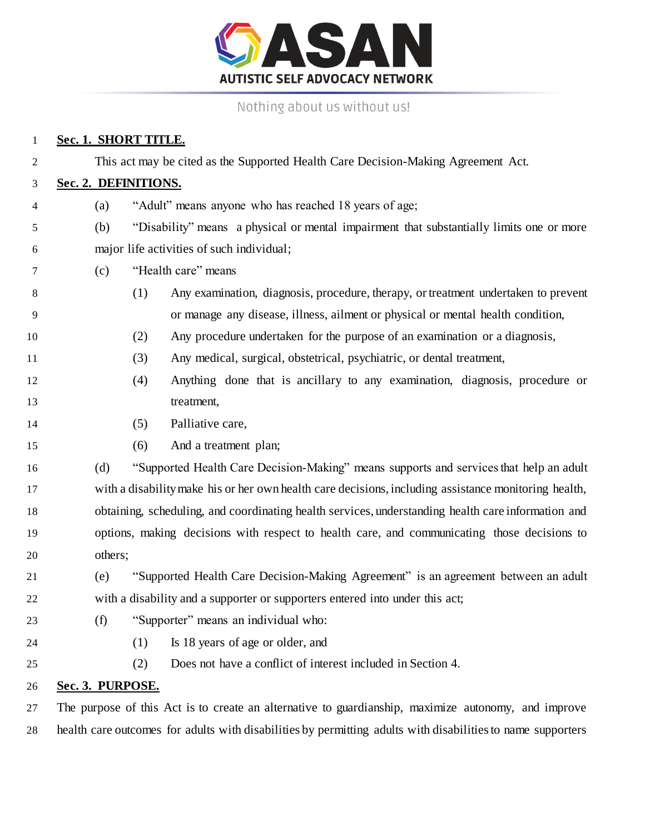

| 1  | Sec. 1. SHORT TITLE. |     |                                                                                                      |
|----|----------------------|-----|------------------------------------------------------------------------------------------------------|
| 2  |                      |     | This act may be cited as the Supported Health Care Decision-Making Agreement Act.                    |
| 3  | Sec. 2. DEFINITIONS. |     |                                                                                                      |
| 4  | (a)                  |     | "Adult" means anyone who has reached 18 years of age;                                                |
| 5  | (b)                  |     | "Disability" means a physical or mental impairment that substantially limits one or more             |
| 6  |                      |     | major life activities of such individual;                                                            |
| 7  | (c)                  |     | "Health care" means                                                                                  |
| 8  |                      | (1) | Any examination, diagnosis, procedure, therapy, or treatment undertaken to prevent                   |
| 9  |                      |     | or manage any disease, illness, ailment or physical or mental health condition,                      |
| 10 |                      | (2) | Any procedure undertaken for the purpose of an examination or a diagnosis,                           |
| 11 |                      | (3) | Any medical, surgical, obstetrical, psychiatric, or dental treatment,                                |
| 12 |                      | (4) | Anything done that is ancillary to any examination, diagnosis, procedure or                          |
| 13 |                      |     | treatment,                                                                                           |
| 14 |                      | (5) | Palliative care,                                                                                     |
| 15 |                      | (6) | And a treatment plan;                                                                                |
| 16 | (d)                  |     | "Supported Health Care Decision-Making" means supports and services that help an adult               |
| 17 |                      |     | with a disability make his or her own health care decisions, including assistance monitoring health, |
| 18 |                      |     | obtaining, scheduling, and coordinating health services, understanding health care information and   |
| 19 |                      |     | options, making decisions with respect to health care, and communicating those decisions to          |
| 20 | others;              |     |                                                                                                      |
| 21 | (e)                  |     | "Supported Health Care Decision-Making Agreement" is an agreement between an adult                   |
| 22 |                      |     | with a disability and a supporter or supporters entered into under this act;                         |
| 23 | (f)                  |     | "Supporter" means an individual who:                                                                 |
| 24 |                      | (1) | Is 18 years of age or older, and                                                                     |
| 25 |                      | (2) | Does not have a conflict of interest included in Section 4.                                          |
| 26 | Sec. 3. PURPOSE.     |     |                                                                                                      |
| 27 |                      |     | The purpose of this Act is to create an alternative to guardianship, maximize autonomy, and improve  |

health care outcomes for adults with disabilities by permitting adults with disabilities to name supporters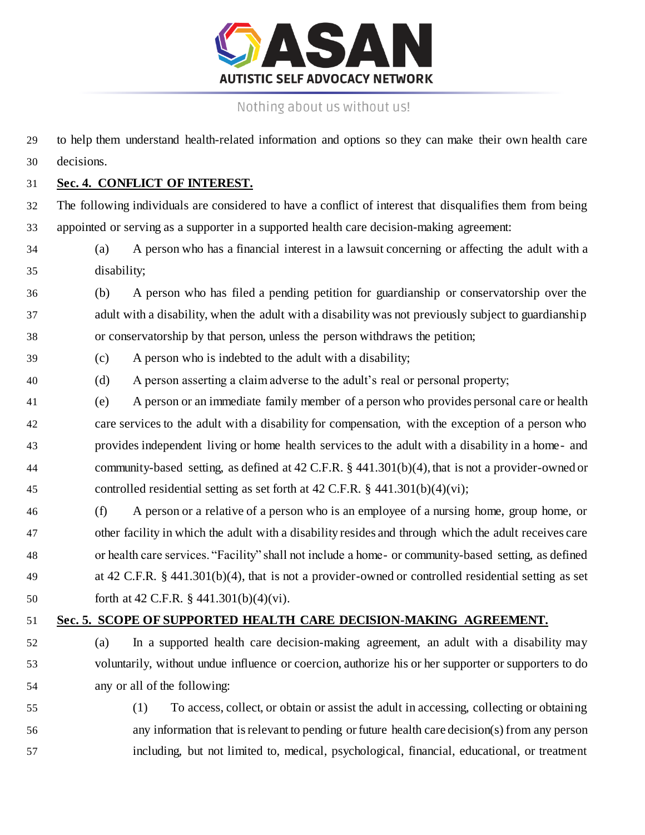

 to help them understand health-related information and options so they can make their own health care decisions.

#### **Sec. 4. CONFLICT OF INTEREST.**

 The following individuals are considered to have a conflict of interest that disqualifies them from being appointed or serving as a supporter in a supported health care decision-making agreement:

- (a) A person who has a financial interest in a lawsuit concerning or affecting the adult with a disability;
- (b) A person who has filed a pending petition for guardianship or conservatorship over the adult with a disability, when the adult with a disability was not previously subject to guardianship or conservatorship by that person, unless the person withdraws the petition;
- (c) A person who is indebted to the adult with a disability;
- (d) A person asserting a claim adverse to the adult's real or personal property;
- (e) A person or an immediate family member of a person who provides personal care or health care services to the adult with a disability for compensation, with the exception of a person who provides independent living or home health services to the adult with a disability in a home- and community-based setting, as defined at 42 C.F.R. § 441.301(b)(4), that is not a provider-owned or controlled residential setting as set forth at 42 C.F.R. § 441.301(b)(4)(vi);
- (f) A person or a relative of a person who is an employee of a nursing home, group home, or other facility in which the adult with a disability resides and through which the adult receives care or health care services. "Facility" shall not include a home- or community-based setting, as defined at 42 C.F.R. § 441.301(b)(4), that is not a provider-owned or controlled residential setting as set forth at 42 C.F.R. § 441.301(b)(4)(vi).

#### **Sec. 5. SCOPE OF SUPPORTED HEALTH CARE DECISION-MAKING AGREEMENT.**

- (a) In a supported health care decision-making agreement, an adult with a disability may voluntarily, without undue influence or coercion, authorize his or her supporter or supporters to do any or all of the following:
- 
- (1) To access, collect, or obtain or assist the adult in accessing, collecting or obtaining any information that is relevant to pending or future health care decision(s) from any person including, but not limited to, medical, psychological, financial, educational, or treatment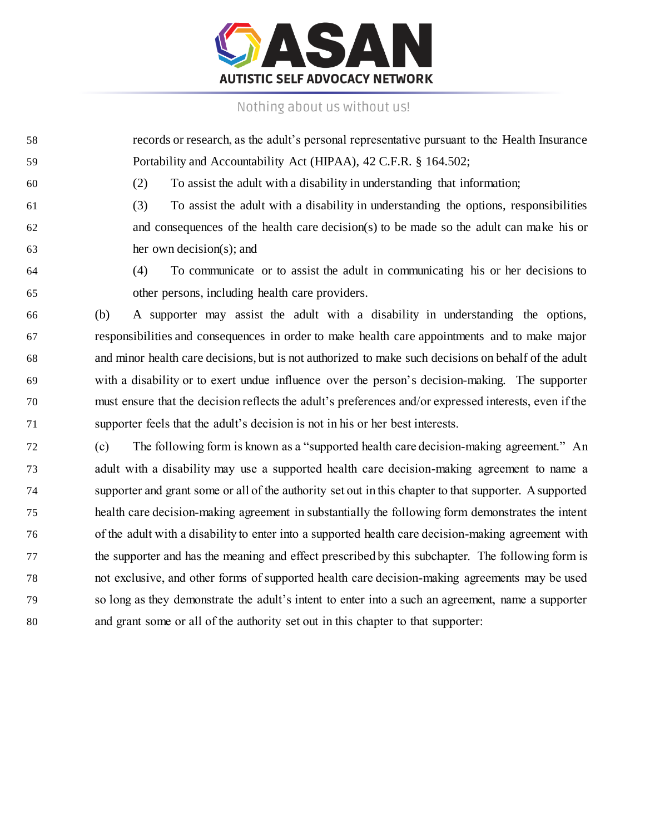

- records or research, as the adult's personal representative pursuant to the Health Insurance Portability and Accountability Act (HIPAA), 42 C.F.R. § 164.502;
- 

(2) To assist the adult with a disability in understanding that information;

- (3) To assist the adult with a disability in understanding the options, responsibilities and consequences of the health care decision(s) to be made so the adult can make his or her own decision(s); and
- (4) To communicate or to assist the adult in communicating his or her decisions to other persons, including health care providers.
- (b) A supporter may assist the adult with a disability in understanding the options, responsibilities and consequences in order to make health care appointments and to make major and minor health care decisions, but is not authorized to make such decisions on behalf of the adult with a disability or to exert undue influence over the person's decision-making. The supporter must ensure that the decision reflects the adult's preferences and/or expressed interests, even if the supporter feels that the adult's decision is not in his or her best interests.
- (c) The following form is known as a "supported health care decision-making agreement." An adult with a disability may use a supported health care decision-making agreement to name a supporter and grant some or all of the authority set out in this chapter to that supporter. A supported health care decision-making agreement in substantially the following form demonstrates the intent of the adult with a disability to enter into a supported health care decision-making agreement with the supporter and has the meaning and effect prescribed by this subchapter. The following form is not exclusive, and other forms of supported health care decision-making agreements may be used so long as they demonstrate the adult's intent to enter into a such an agreement, name a supporter and grant some or all of the authority set out in this chapter to that supporter: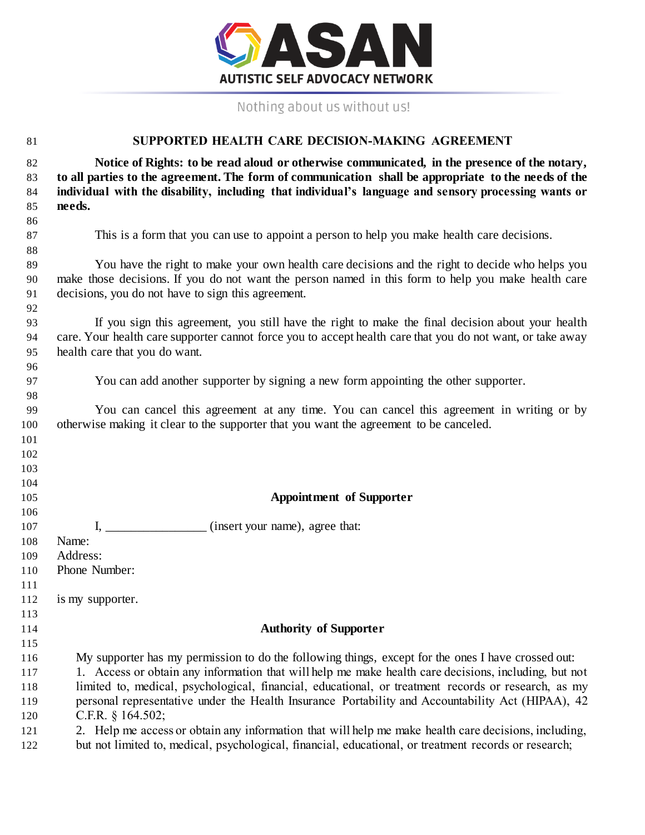

| 81             | SUPPORTED HEALTH CARE DECISION-MAKING AGREEMENT                                                                                                                                                                                                                                                             |  |  |
|----------------|-------------------------------------------------------------------------------------------------------------------------------------------------------------------------------------------------------------------------------------------------------------------------------------------------------------|--|--|
| 82<br>83<br>84 | Notice of Rights: to be read aloud or otherwise communicated, in the presence of the notary,<br>to all parties to the agreement. The form of communication shall be appropriate to the needs of the<br>individual with the disability, including that individual's language and sensory processing wants or |  |  |
| 85             | needs.                                                                                                                                                                                                                                                                                                      |  |  |
| 86             |                                                                                                                                                                                                                                                                                                             |  |  |
| 87             | This is a form that you can use to appoint a person to help you make health care decisions.                                                                                                                                                                                                                 |  |  |
| 88             |                                                                                                                                                                                                                                                                                                             |  |  |
| 89             | You have the right to make your own health care decisions and the right to decide who helps you                                                                                                                                                                                                             |  |  |
| 90             | make those decisions. If you do not want the person named in this form to help you make health care                                                                                                                                                                                                         |  |  |
| 91             | decisions, you do not have to sign this agreement.                                                                                                                                                                                                                                                          |  |  |
| 92             |                                                                                                                                                                                                                                                                                                             |  |  |
| 93<br>94       | If you sign this agreement, you still have the right to make the final decision about your health<br>care. Your health care supporter cannot force you to accept health care that you do not want, or take away                                                                                             |  |  |
| 95             | health care that you do want.                                                                                                                                                                                                                                                                               |  |  |
| 96             |                                                                                                                                                                                                                                                                                                             |  |  |
| 97             | You can add another supporter by signing a new form appointing the other supporter.                                                                                                                                                                                                                         |  |  |
| 98             |                                                                                                                                                                                                                                                                                                             |  |  |
| 99             | You can cancel this agreement at any time. You can cancel this agreement in writing or by                                                                                                                                                                                                                   |  |  |
| 100            | otherwise making it clear to the supporter that you want the agreement to be canceled.                                                                                                                                                                                                                      |  |  |
| 101            |                                                                                                                                                                                                                                                                                                             |  |  |
| 102            |                                                                                                                                                                                                                                                                                                             |  |  |
| 103            |                                                                                                                                                                                                                                                                                                             |  |  |
| 104            |                                                                                                                                                                                                                                                                                                             |  |  |
| 105            | <b>Appointment of Supporter</b>                                                                                                                                                                                                                                                                             |  |  |
| 106            |                                                                                                                                                                                                                                                                                                             |  |  |
| 107            | (insert your name), agree that:<br><b>I</b> , <u>in the set of the set of the set of the set of the set of the set of the set of the set of the set of the set of the set of the set of the set of the set of the set of the set of the set of the set of the set of the </u>                               |  |  |
| 108            | Name:                                                                                                                                                                                                                                                                                                       |  |  |
| 109            | Address:                                                                                                                                                                                                                                                                                                    |  |  |
| 110            | Phone Number:                                                                                                                                                                                                                                                                                               |  |  |
| 111            |                                                                                                                                                                                                                                                                                                             |  |  |
| 112            | is my supporter.                                                                                                                                                                                                                                                                                            |  |  |
| 113            | <b>Authority of Supporter</b>                                                                                                                                                                                                                                                                               |  |  |
| 114<br>115     |                                                                                                                                                                                                                                                                                                             |  |  |
| 116            | My supporter has my permission to do the following things, except for the ones I have crossed out:                                                                                                                                                                                                          |  |  |
| 117            | 1. Access or obtain any information that will help me make health care decisions, including, but not                                                                                                                                                                                                        |  |  |
| 118            | limited to, medical, psychological, financial, educational, or treatment records or research, as my                                                                                                                                                                                                         |  |  |
| 119            | personal representative under the Health Insurance Portability and Accountability Act (HIPAA), 42                                                                                                                                                                                                           |  |  |
| 120            | C.F.R. $§$ 164.502;                                                                                                                                                                                                                                                                                         |  |  |
| 121            | 2. Help me access or obtain any information that will help me make health care decisions, including,                                                                                                                                                                                                        |  |  |
| 122            | but not limited to, medical, psychological, financial, educational, or treatment records or research;                                                                                                                                                                                                       |  |  |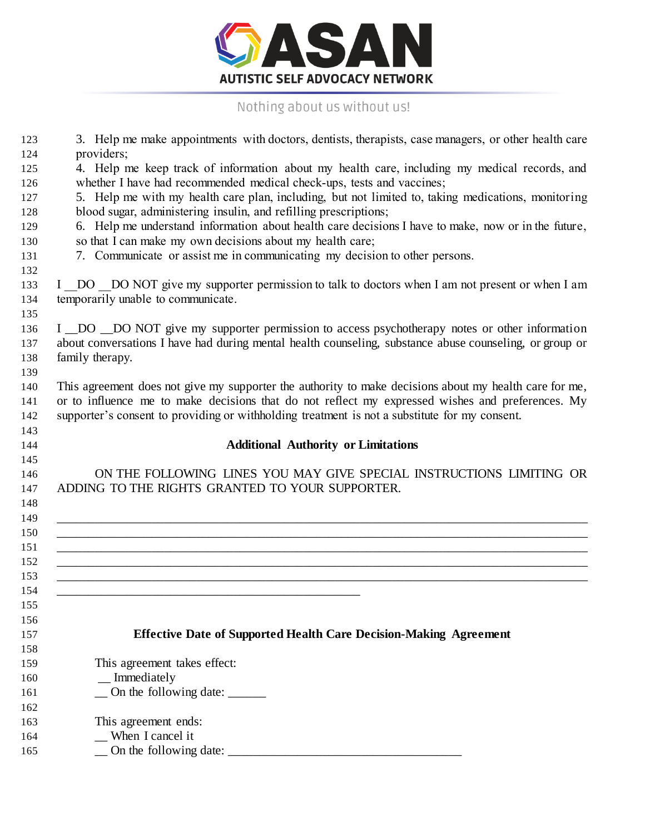

| 123        | 3. Help me make appointments with doctors, dentists, therapists, case managers, or other health care                                 |  |  |
|------------|--------------------------------------------------------------------------------------------------------------------------------------|--|--|
| 124        | providers;                                                                                                                           |  |  |
| 125        | 4. Help me keep track of information about my health care, including my medical records, and                                         |  |  |
| 126        | whether I have had recommended medical check-ups, tests and vaccines;                                                                |  |  |
| 127        | 5. Help me with my health care plan, including, but not limited to, taking medications, monitoring                                   |  |  |
| 128        | blood sugar, administering insulin, and refilling prescriptions;                                                                     |  |  |
| 129        | 6. Help me understand information about health care decisions I have to make, now or in the future,                                  |  |  |
| 130        | so that I can make my own decisions about my health care;                                                                            |  |  |
| 131        | 7. Communicate or assist me in communicating my decision to other persons.                                                           |  |  |
| 132        |                                                                                                                                      |  |  |
| 133<br>134 | I DO DO NOT give my supporter permission to talk to doctors when I am not present or when I am<br>temporarily unable to communicate. |  |  |
| 135        |                                                                                                                                      |  |  |
| 136        | I _DO _DO NOT give my supporter permission to access psychotherapy notes or other information                                        |  |  |
| 137        | about conversations I have had during mental health counseling, substance abuse counseling, or group or                              |  |  |
| 138        | family therapy.                                                                                                                      |  |  |
| 139        |                                                                                                                                      |  |  |
| 140        | This agreement does not give my supporter the authority to make decisions about my health care for me,                               |  |  |
| 141        | or to influence me to make decisions that do not reflect my expressed wishes and preferences. My                                     |  |  |
| 142        | supporter's consent to providing or withholding treatment is not a substitute for my consent.                                        |  |  |
| 143        |                                                                                                                                      |  |  |
| 144        | <b>Additional Authority or Limitations</b>                                                                                           |  |  |
| 145        |                                                                                                                                      |  |  |
| 146        | ON THE FOLLOWING LINES YOU MAY GIVE SPECIAL INSTRUCTIONS LIMITING OR                                                                 |  |  |
| 147        | ADDING TO THE RIGHTS GRANTED TO YOUR SUPPORTER.                                                                                      |  |  |
| 148        |                                                                                                                                      |  |  |
| 149        |                                                                                                                                      |  |  |
| 150        |                                                                                                                                      |  |  |
| 151        |                                                                                                                                      |  |  |
| 152        | ,我们也不会有什么。""我们的人,我们也不会有什么?""我们的人,我们也不会有什么?""我们的人,我们也不会有什么?""我们的人,我们也不会有什么?""我们的人                                                     |  |  |
| 153        |                                                                                                                                      |  |  |
| 154        |                                                                                                                                      |  |  |
| 155        |                                                                                                                                      |  |  |
| 156        |                                                                                                                                      |  |  |
| 157        | <b>Effective Date of Supported Health Care Decision-Making Agreement</b>                                                             |  |  |
| 158        |                                                                                                                                      |  |  |
| 159        | This agreement takes effect:                                                                                                         |  |  |
| 160        | _ Immediately                                                                                                                        |  |  |
| 161        | _ On the following date: ______                                                                                                      |  |  |
| 162        |                                                                                                                                      |  |  |
| 163        | This agreement ends:                                                                                                                 |  |  |
| 164        | When I cancel it                                                                                                                     |  |  |
| 165        | On the following date:                                                                                                               |  |  |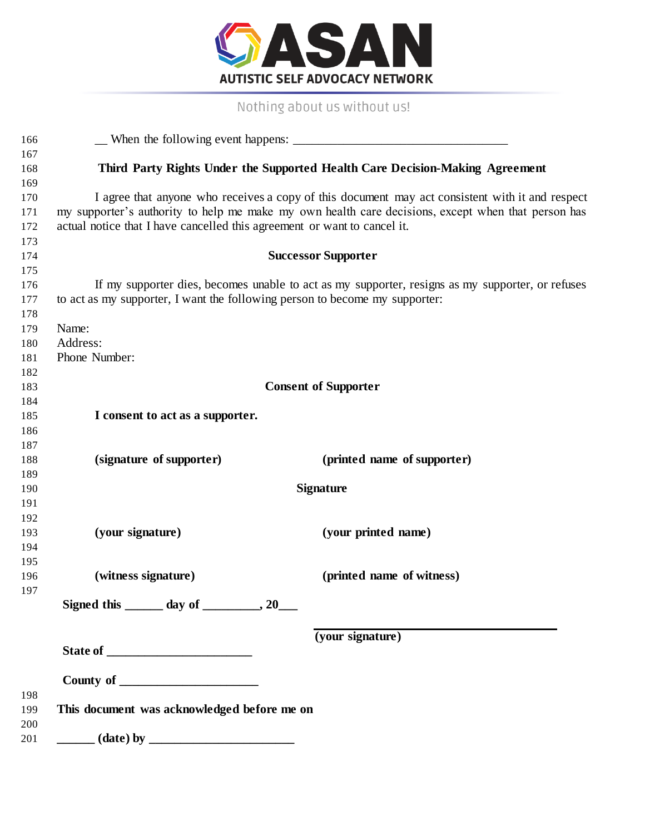

| 166        |                                                                                                    |
|------------|----------------------------------------------------------------------------------------------------|
| 167        |                                                                                                    |
| 168        | Third Party Rights Under the Supported Health Care Decision-Making Agreement                       |
| 169        |                                                                                                    |
| 170        | I agree that anyone who receives a copy of this document may act consistent with it and respect    |
| 171        | my supporter's authority to help me make my own health care decisions, except when that person has |
| 172        | actual notice that I have cancelled this agreement or want to cancel it.                           |
| 173        |                                                                                                    |
| 174        | <b>Successor Supporter</b>                                                                         |
| 175        |                                                                                                    |
| 176        | If my supporter dies, becomes unable to act as my supporter, resigns as my supporter, or refuses   |
| 177<br>178 | to act as my supporter, I want the following person to become my supporter:                        |
| 179        | Name:                                                                                              |
| 180        | Address:                                                                                           |
| 181        | Phone Number:                                                                                      |
| 182        |                                                                                                    |
| 183        | <b>Consent of Supporter</b>                                                                        |
| 184        |                                                                                                    |
| 185        | I consent to act as a supporter.                                                                   |
| 186        |                                                                                                    |
| 187        |                                                                                                    |
| 188        | (signature of supporter)<br>(printed name of supporter)                                            |
| 189        |                                                                                                    |
| 190        | <b>Signature</b>                                                                                   |
| 191        |                                                                                                    |
| 192        |                                                                                                    |
| 193        | (your signature)<br>(your printed name)                                                            |
| 194        |                                                                                                    |
| 195        |                                                                                                    |
| 196        | (witness signature)<br>(printed name of witness)                                                   |
| 197        |                                                                                                    |
|            | Signed this $\qquad \qquad$ day of $\qquad \qquad , 20$                                            |
|            |                                                                                                    |
|            | $\overline{\text{(your signature)}}$                                                               |
|            |                                                                                                    |
|            | County of $\sqrt{2}$                                                                               |
| 198        |                                                                                                    |
| 199        | This document was acknowledged before me on                                                        |
| 200<br>201 | $\frac{1}{\sqrt{1-\frac{1}{2}}}\left(\frac{1}{2}\right)$ by $\frac{1}{2}\left(\frac{1}{2}\right)$  |
|            |                                                                                                    |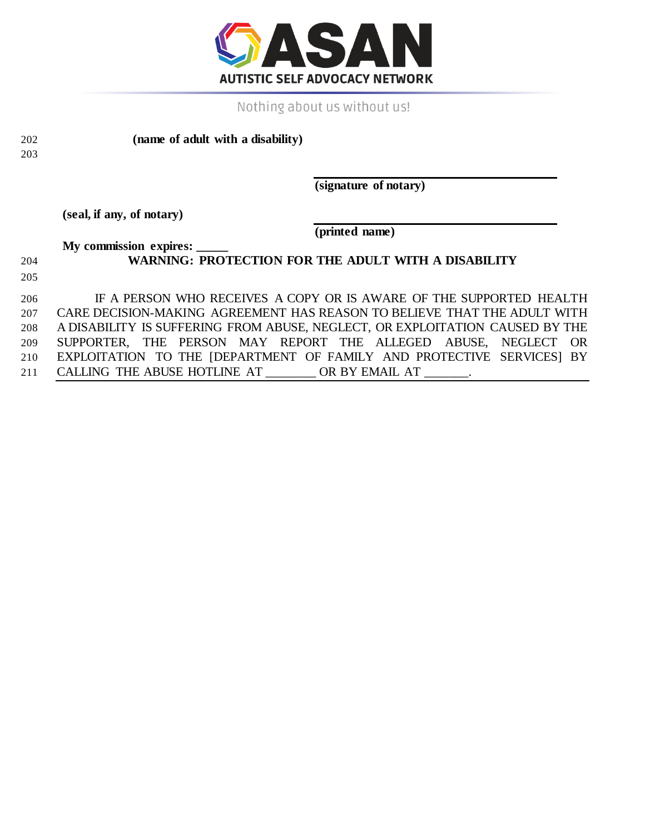

203

202 **(name of adult with a disability)**

**(signature of notary)**

**(seal, if any, of notary)**

**(printed name)**

**My commission expires: \_\_\_\_\_**

204 **WARNING: PROTECTION FOR THE ADULT WITH A DISABILITY**

205

 IF A PERSON WHO RECEIVES A COPY OR IS AWARE OF THE SUPPORTED HEALTH CARE DECISION-MAKING AGREEMENT HAS REASON TO BELIEVE THAT THE ADULT WITH A DISABILITY IS SUFFERING FROM ABUSE, NEGLECT, OR EXPLOITATION CAUSED BY THE SUPPORTER, THE PERSON MAY REPORT THE ALLEGED ABUSE, NEGLECT OR EXPLOITATION TO THE [DEPARTMENT OF FAMILY AND PROTECTIVE SERVICES] BY 211 CALLING THE ABUSE HOTLINE AT \_\_\_\_\_\_\_\_\_ OR BY EMAIL AT \_\_\_\_\_\_\_.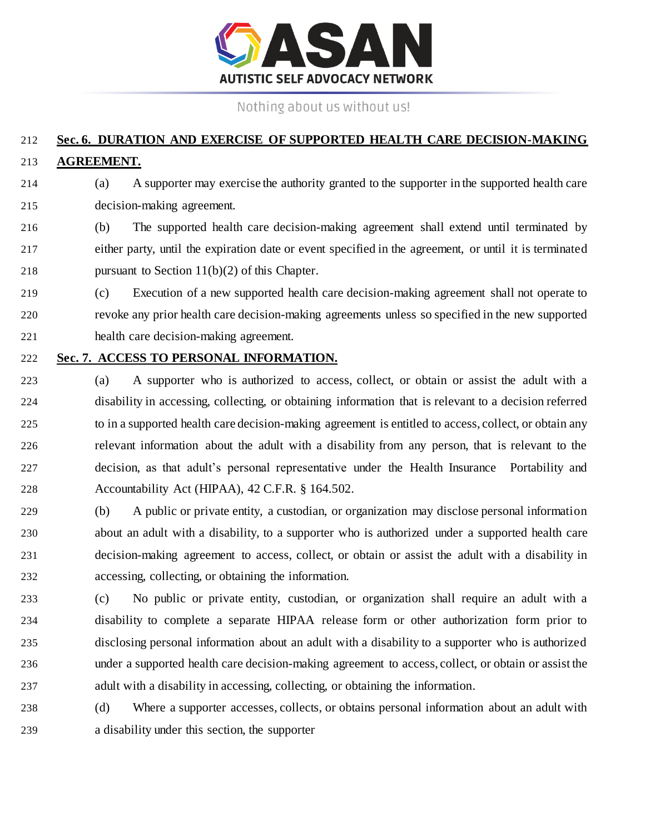

# **Sec. 6. DURATION AND EXERCISE OF SUPPORTED HEALTH CARE DECISION-MAKING AGREEMENT.**

- (a) A supporter may exercise the authority granted to the supporter in the supported health care decision-making agreement.
- (b) The supported health care decision-making agreement shall extend until terminated by either party, until the expiration date or event specified in the agreement, or until it is terminated pursuant to Section 11(b)(2) of this Chapter.
- (c) Execution of a new supported health care decision-making agreement shall not operate to revoke any prior health care decision-making agreements unless so specified in the new supported health care decision-making agreement.
- **Sec. 7. ACCESS TO PERSONAL INFORMATION.**

 (a) A supporter who is authorized to access, collect, or obtain or assist the adult with a disability in accessing, collecting, or obtaining information that is relevant to a decision referred to in a supported health care decision-making agreement is entitled to access, collect, or obtain any relevant information about the adult with a disability from any person, that is relevant to the decision, as that adult's personal representative under the Health Insurance Portability and Accountability Act (HIPAA), 42 C.F.R. § 164.502.

- (b) A public or private entity, a custodian, or organization may disclose personal information about an adult with a disability, to a supporter who is authorized under a supported health care decision-making agreement to access, collect, or obtain or assist the adult with a disability in accessing, collecting, or obtaining the information.
- (c) No public or private entity, custodian, or organization shall require an adult with a disability to complete a separate HIPAA release form or other authorization form prior to disclosing personal information about an adult with a disability to a supporter who is authorized under a supported health care decision-making agreement to access, collect, or obtain or assist the adult with a disability in accessing, collecting, or obtaining the information.
- (d) Where a supporter accesses, collects, or obtains personal information about an adult with a disability under this section, the supporter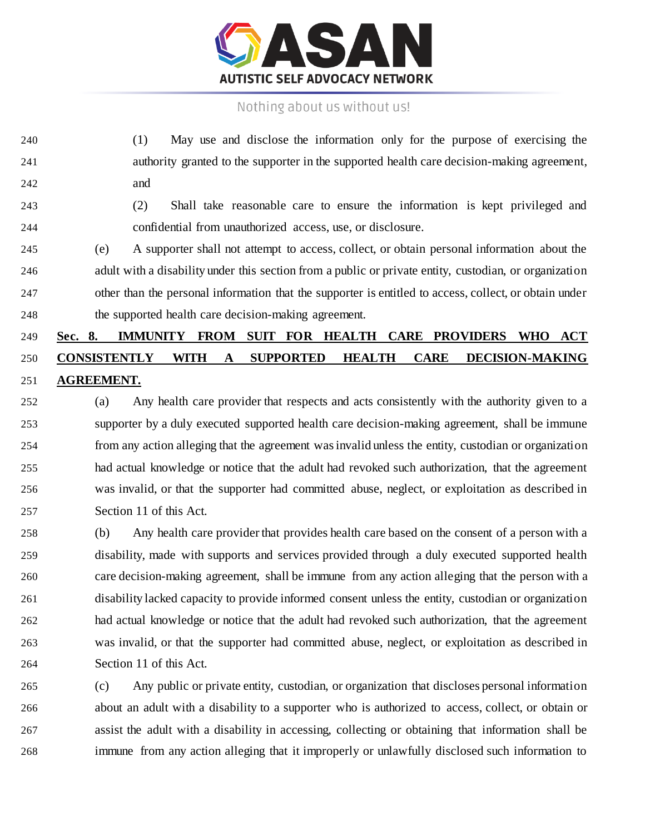

- (1) May use and disclose the information only for the purpose of exercising the authority granted to the supporter in the supported health care decision-making agreement, and
- (2) Shall take reasonable care to ensure the information is kept privileged and confidential from unauthorized access, use, or disclosure.
- (e) A supporter shall not attempt to access, collect, or obtain personal information about the adult with a disability under this section from a public or private entity, custodian, or organization other than the personal information that the supporter is entitled to access, collect, or obtain under the supported health care decision-making agreement.

# **Sec. 8. IMMUNITY FROM SUIT FOR HEALTH CARE PROVIDERS WHO ACT CONSISTENTLY WITH A SUPPORTED HEALTH CARE DECISION-MAKING AGREEMENT.**

 (a) Any health care provider that respects and acts consistently with the authority given to a supporter by a duly executed supported health care decision-making agreement, shall be immune from any action alleging that the agreement was invalid unless the entity, custodian or organization had actual knowledge or notice that the adult had revoked such authorization, that the agreement was invalid, or that the supporter had committed abuse, neglect, or exploitation as described in Section 11 of this Act.

 (b) Any health care provider that provides health care based on the consent of a person with a disability, made with supports and services provided through a duly executed supported health care decision-making agreement, shall be immune from any action alleging that the person with a disability lacked capacity to provide informed consent unless the entity, custodian or organization had actual knowledge or notice that the adult had revoked such authorization, that the agreement was invalid, or that the supporter had committed abuse, neglect, or exploitation as described in Section 11 of this Act.

 (c) Any public or private entity, custodian, or organization that discloses personal information about an adult with a disability to a supporter who is authorized to access, collect, or obtain or assist the adult with a disability in accessing, collecting or obtaining that information shall be immune from any action alleging that it improperly or unlawfully disclosed such information to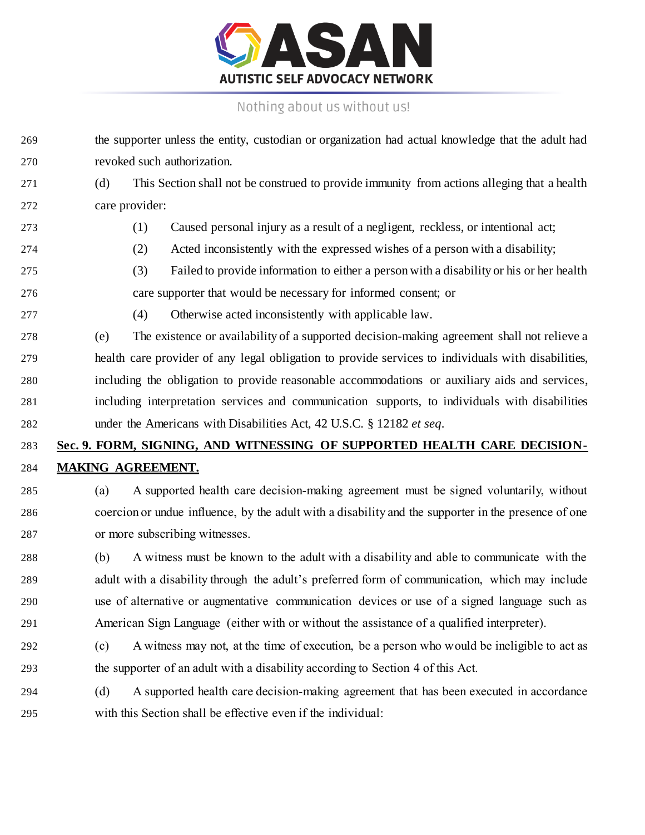

 the supporter unless the entity, custodian or organization had actual knowledge that the adult had revoked such authorization. (d) This Section shall not be construed to provide immunity from actions alleging that a health care provider: (1) Caused personal injury as a result of a negligent, reckless, or intentional act; (2) Acted inconsistently with the expressed wishes of a person with a disability; (3) Failed to provide information to either a person with a disability or his or her health care supporter that would be necessary for informed consent; or (4) Otherwise acted inconsistently with applicable law. (e) The existence or availability of a supported decision-making agreement shall not relieve a health care provider of any legal obligation to provide services to individuals with disabilities, including the obligation to provide reasonable accommodations or auxiliary aids and services, including interpretation services and communication supports, to individuals with disabilities under the Americans with Disabilities Act, 42 U.S.C. § 12182 *et seq*. **Sec. 9. FORM, SIGNING, AND WITNESSING OF SUPPORTED HEALTH CARE DECISION- MAKING AGREEMENT.** (a) A supported health care decision-making agreement must be signed voluntarily, without coercion or undue influence, by the adult with a disability and the supporter in the presence of one or more subscribing witnesses. (b) A witness must be known to the adult with a disability and able to communicate with the adult with a disability through the adult's preferred form of communication, which may include use of alternative or augmentative communication devices or use of a signed language such as American Sign Language (either with or without the assistance of a qualified interpreter). (c) A witness may not, at the time of execution, be a person who would be ineligible to act as the supporter of an adult with a disability according to Section 4 of this Act. (d) A supported health care decision-making agreement that has been executed in accordance with this Section shall be effective even if the individual: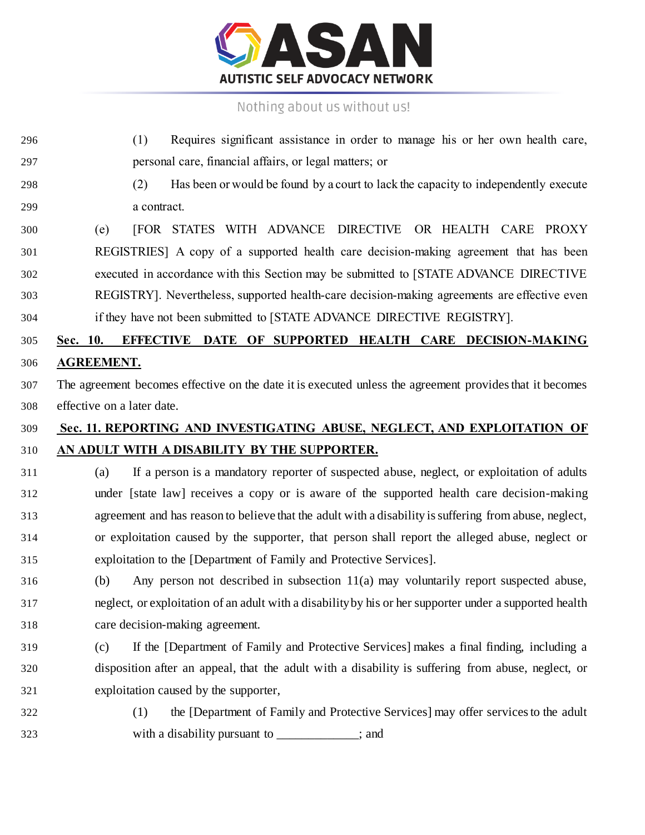

| 296 | Requires significant assistance in order to manage his or her own health care,<br>(1)                    |
|-----|----------------------------------------------------------------------------------------------------------|
| 297 | personal care, financial affairs, or legal matters; or                                                   |
| 298 | Has been or would be found by a court to lack the capacity to independently execute<br>(2)               |
| 299 | a contract.                                                                                              |
| 300 | [FOR STATES WITH ADVANCE DIRECTIVE OR HEALTH CARE PROXY<br>(e)                                           |
| 301 | REGISTRIES] A copy of a supported health care decision-making agreement that has been                    |
| 302 | executed in accordance with this Section may be submitted to [STATE ADVANCE DIRECTIVE                    |
| 303 | REGISTRY]. Nevertheless, supported health-care decision-making agreements are effective even             |
| 304 | if they have not been submitted to [STATE ADVANCE DIRECTIVE REGISTRY].                                   |
| 305 | Sec. 10. EFFECTIVE DATE OF SUPPORTED HEALTH CARE DECISION-MAKING                                         |
| 306 | <b>AGREEMENT.</b>                                                                                        |
| 307 | The agreement becomes effective on the date it is executed unless the agreement provides that it becomes |
| 308 | effective on a later date.                                                                               |
| 309 | Sec. 11. REPORTING AND INVESTIGATING ABUSE, NEGLECT, AND EXPLOITATION OF                                 |
| 310 | <u>AN ADULT WITH A DISABILITY BY THE SUPPORTER.</u>                                                      |
| 311 | If a person is a mandatory reporter of suspected abuse, neglect, or exploitation of adults<br>(a)        |
| 312 | under [state law] receives a copy or is aware of the supported health care decision-making               |
| 313 | agreement and has reason to believe that the adult with a disability is suffering from abuse, neglect,   |
| 314 | or exploitation caused by the supporter, that person shall report the alleged abuse, neglect or          |
| 315 | exploitation to the [Department of Family and Protective Services].                                      |
| 316 | Any person not described in subsection $11(a)$ may voluntarily report suspected abuse,<br>(b)            |
| 317 | neglect, or exploitation of an adult with a disability by his or her supporter under a supported health  |
| 318 | care decision-making agreement.                                                                          |
| 319 | If the [Department of Family and Protective Services] makes a final finding, including a<br>(c)          |
| 320 | disposition after an appeal, that the adult with a disability is suffering from abuse, neglect, or       |
| 321 | exploitation caused by the supporter,                                                                    |
| 322 | (1)<br>the [Department of Family and Protective Services] may offer services to the adult                |
| 323 | with a disability pursuant to ___________; and                                                           |
|     |                                                                                                          |